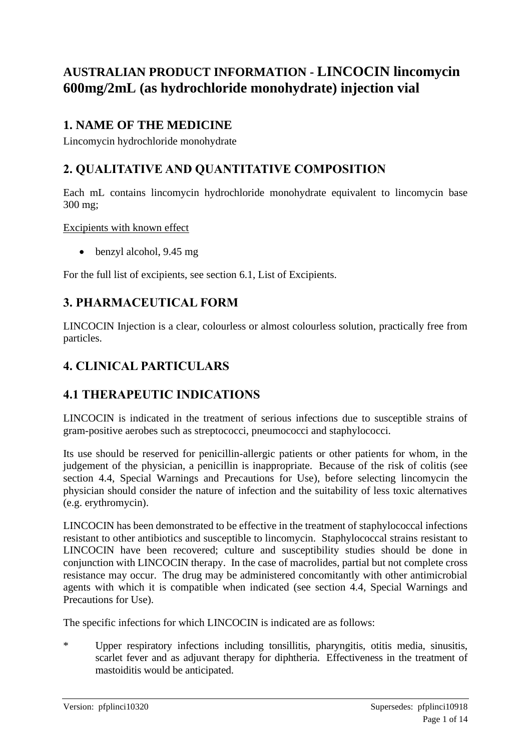# **AUSTRALIAN PRODUCT INFORMATION - LINCOCIN lincomycin 600mg/2mL (as hydrochloride monohydrate) injection vial**

# **1. NAME OF THE MEDICINE**

Lincomycin hydrochloride monohydrate

## **2. QUALITATIVE AND QUANTITATIVE COMPOSITION**

Each mL contains lincomycin hydrochloride monohydrate equivalent to lincomycin base 300 mg;

Excipients with known effect

• benzyl alcohol, 9.45 mg

For the full list of excipients, see section 6.1, List of Excipients.

## **3. PHARMACEUTICAL FORM**

LINCOCIN Injection is a clear, colourless or almost colourless solution, practically free from particles.

# **4. CLINICAL PARTICULARS**

# **4.1 THERAPEUTIC INDICATIONS**

LINCOCIN is indicated in the treatment of serious infections due to susceptible strains of gram-positive aerobes such as streptococci, pneumococci and staphylococci.

Its use should be reserved for penicillin-allergic patients or other patients for whom, in the judgement of the physician, a penicillin is inappropriate. Because of the risk of colitis (see section 4.4, Special Warnings and Precautions for Use), before selecting lincomycin the physician should consider the nature of infection and the suitability of less toxic alternatives (e.g. erythromycin).

LINCOCIN has been demonstrated to be effective in the treatment of staphylococcal infections resistant to other antibiotics and susceptible to lincomycin. Staphylococcal strains resistant to LINCOCIN have been recovered; culture and susceptibility studies should be done in conjunction with LINCOCIN therapy. In the case of macrolides, partial but not complete cross resistance may occur. The drug may be administered concomitantly with other antimicrobial agents with which it is compatible when indicated (see section 4.4, Special Warnings and Precautions for Use).

The specific infections for which LINCOCIN is indicated are as follows:

\* Upper respiratory infections including tonsillitis, pharyngitis, otitis media, sinusitis, scarlet fever and as adjuvant therapy for diphtheria. Effectiveness in the treatment of mastoiditis would be anticipated.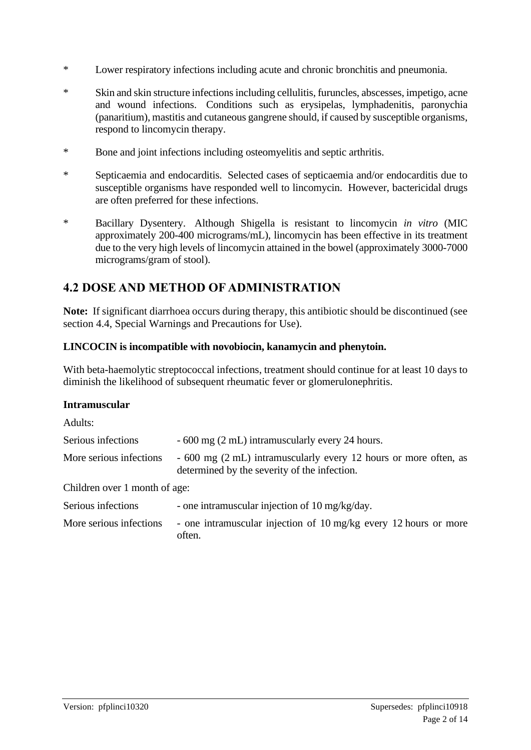- \* Lower respiratory infections including acute and chronic bronchitis and pneumonia.
- \* Skin and skin structure infections including cellulitis, furuncles, abscesses, impetigo, acne and wound infections. Conditions such as erysipelas, lymphadenitis, paronychia (panaritium), mastitis and cutaneous gangrene should, if caused by susceptible organisms, respond to lincomycin therapy.
- \* Bone and joint infections including osteomyelitis and septic arthritis.
- \* Septicaemia and endocarditis. Selected cases of septicaemia and/or endocarditis due to susceptible organisms have responded well to lincomycin. However, bactericidal drugs are often preferred for these infections.
- \* Bacillary Dysentery. Although Shigella is resistant to lincomycin *in vitro* (MIC approximately 200-400 micrograms/mL), lincomycin has been effective in its treatment due to the very high levels of lincomycin attained in the bowel (approximately 3000-7000 micrograms/gram of stool).

## **4.2 DOSE AND METHOD OF ADMINISTRATION**

**Note:** If significant diarrhoea occurs during therapy, this antibiotic should be discontinued (see section 4.4, Special Warnings and Precautions for Use).

### **LINCOCIN is incompatible with novobiocin, kanamycin and phenytoin.**

With beta-haemolytic streptococcal infections, treatment should continue for at least 10 days to diminish the likelihood of subsequent rheumatic fever or glomerulonephritis.

### **Intramuscular**

| Adults:                       |                                                                                                                  |  |  |
|-------------------------------|------------------------------------------------------------------------------------------------------------------|--|--|
| Serious infections            | - 600 mg (2 mL) intramuscularly every 24 hours.                                                                  |  |  |
| More serious infections       | - 600 mg (2 mL) intramuscularly every 12 hours or more often, as<br>determined by the severity of the infection. |  |  |
| Children over 1 month of age: |                                                                                                                  |  |  |
| Serious infections            | - one intramuscular injection of 10 mg/kg/day.                                                                   |  |  |
| More serious infections       | - one intramuscular injection of 10 mg/kg every 12 hours or more<br>often.                                       |  |  |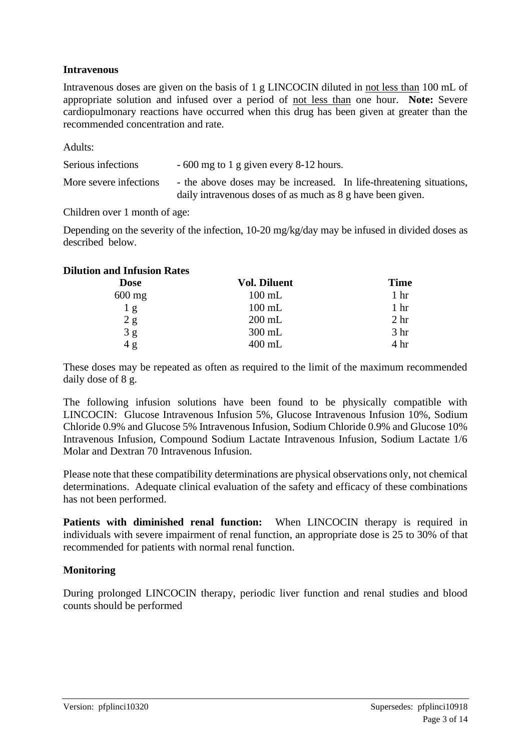### **Intravenous**

Intravenous doses are given on the basis of 1 g LINCOCIN diluted in not less than 100 mL of appropriate solution and infused over a period of not less than one hour. **Note:** Severe cardiopulmonary reactions have occurred when this drug has been given at greater than the recommended concentration and rate.

Adults:

| Serious infections     | $-600$ mg to 1 g given every 8-12 hours.                            |
|------------------------|---------------------------------------------------------------------|
| More severe infections | - the above doses may be increased. In life-threatening situations, |
|                        | daily intravenous doses of as much as 8 g have been given.          |

Children over 1 month of age:

Depending on the severity of the infection, 10-20 mg/kg/day may be infused in divided doses as described below.

### **Dilution and Infusion Rates**

| <b>Dose</b>     | <b>Vol. Diluent</b> | <b>Time</b>     |
|-----------------|---------------------|-----------------|
| $600$ mg        | $100$ mL            | 1 <sup>hr</sup> |
| 1 <sub>g</sub>  | $100 \text{ mL}$    | 1 <sup>hr</sup> |
| $2\ \mathrm{g}$ | $200$ mL            | 2 <sub>hr</sub> |
| $3g$<br>$4g$    | $300$ mL            | 3 <sub>hr</sub> |
|                 | $400$ mL            | 4 <sup>hr</sup> |

These doses may be repeated as often as required to the limit of the maximum recommended daily dose of 8 g.

The following infusion solutions have been found to be physically compatible with LINCOCIN: Glucose Intravenous Infusion 5%, Glucose Intravenous Infusion 10%, Sodium Chloride 0.9% and Glucose 5% Intravenous Infusion, Sodium Chloride 0.9% and Glucose 10% Intravenous Infusion, Compound Sodium Lactate Intravenous Infusion, Sodium Lactate 1/6 Molar and Dextran 70 Intravenous Infusion.

Please note that these compatibility determinations are physical observations only, not chemical determinations. Adequate clinical evaluation of the safety and efficacy of these combinations has not been performed.

**Patients with diminished renal function:** When LINCOCIN therapy is required in individuals with severe impairment of renal function, an appropriate dose is 25 to 30% of that recommended for patients with normal renal function.

### **Monitoring**

During prolonged LINCOCIN therapy, periodic liver function and renal studies and blood counts should be performed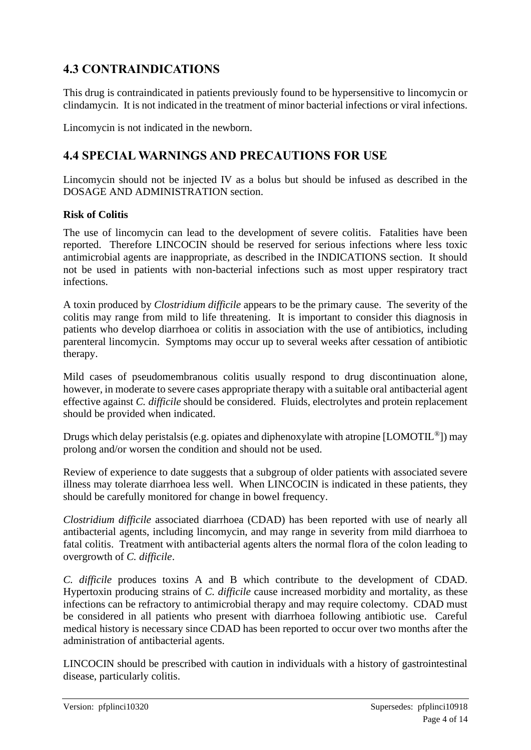# **4.3 CONTRAINDICATIONS**

This drug is contraindicated in patients previously found to be hypersensitive to lincomycin or clindamycin. It is not indicated in the treatment of minor bacterial infections or viral infections.

Lincomycin is not indicated in the newborn.

## **4.4 SPECIAL WARNINGS AND PRECAUTIONS FOR USE**

Lincomycin should not be injected IV as a bolus but should be infused as described in the DOSAGE AND ADMINISTRATION section.

### **Risk of Colitis**

The use of lincomycin can lead to the development of severe colitis. Fatalities have been reported. Therefore LINCOCIN should be reserved for serious infections where less toxic antimicrobial agents are inappropriate, as described in the INDICATIONS section. It should not be used in patients with non-bacterial infections such as most upper respiratory tract infections.

A toxin produced by *Clostridium difficile* appears to be the primary cause. The severity of the colitis may range from mild to life threatening. It is important to consider this diagnosis in patients who develop diarrhoea or colitis in association with the use of antibiotics, including parenteral lincomycin. Symptoms may occur up to several weeks after cessation of antibiotic therapy.

Mild cases of pseudomembranous colitis usually respond to drug discontinuation alone, however, in moderate to severe cases appropriate therapy with a suitable oral antibacterial agent effective against *C. difficile* should be considered. Fluids, electrolytes and protein replacement should be provided when indicated.

Drugs which delay peristalsis (e.g. opiates and diphenoxylate with atropine [LOMOTIL®]) may prolong and/or worsen the condition and should not be used.

Review of experience to date suggests that a subgroup of older patients with associated severe illness may tolerate diarrhoea less well. When LINCOCIN is indicated in these patients, they should be carefully monitored for change in bowel frequency.

*Clostridium difficile* associated diarrhoea (CDAD) has been reported with use of nearly all antibacterial agents, including lincomycin, and may range in severity from mild diarrhoea to fatal colitis. Treatment with antibacterial agents alters the normal flora of the colon leading to overgrowth of *C. difficile*.

*C. difficile* produces toxins A and B which contribute to the development of CDAD. Hypertoxin producing strains of *C. difficile* cause increased morbidity and mortality, as these infections can be refractory to antimicrobial therapy and may require colectomy. CDAD must be considered in all patients who present with diarrhoea following antibiotic use. Careful medical history is necessary since CDAD has been reported to occur over two months after the administration of antibacterial agents.

LINCOCIN should be prescribed with caution in individuals with a history of gastrointestinal disease, particularly colitis.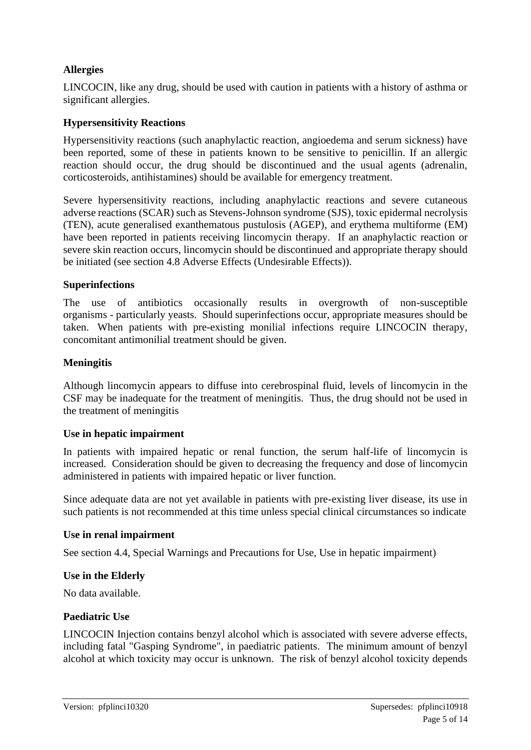### **Allergies**

LINCOCIN, like any drug, should be used with caution in patients with a history of asthma or significant allergies.

### **Hypersensitivity Reactions**

Hypersensitivity reactions (such anaphylactic reaction, angioedema and serum sickness) have been reported, some of these in patients known to be sensitive to penicillin. If an allergic reaction should occur, the drug should be discontinued and the usual agents (adrenalin, corticosteroids, antihistamines) should be available for emergency treatment.

Severe hypersensitivity reactions, including anaphylactic reactions and severe cutaneous adverse reactions (SCAR) such as Stevens-Johnson syndrome (SJS), toxic epidermal necrolysis (TEN), acute generalised exanthematous pustulosis (AGEP), and erythema multiforme (EM) have been reported in patients receiving lincomycin therapy. If an anaphylactic reaction or severe skin reaction occurs, lincomycin should be discontinued and appropriate therapy should be initiated (see section 4.8 Adverse Effects (Undesirable Effects)).

### **Superinfections**

The use of antibiotics occasionally results in overgrowth of non-susceptible organisms - particularly yeasts. Should superinfections occur, appropriate measures should be taken. When patients with pre-existing monilial infections require LINCOCIN therapy, concomitant antimonilial treatment should be given.

### **Meningitis**

Although lincomycin appears to diffuse into cerebrospinal fluid, levels of lincomycin in the CSF may be inadequate for the treatment of meningitis. Thus, the drug should not be used in the treatment of meningitis

#### **Use in hepatic impairment**

In patients with impaired hepatic or renal function, the serum half-life of lincomycin is increased. Consideration should be given to decreasing the frequency and dose of lincomycin administered in patients with impaired hepatic or liver function.

Since adequate data are not yet available in patients with pre-existing liver disease, its use in such patients is not recommended at this time unless special clinical circumstances so indicate

#### **Use in renal impairment**

See section 4.4, Special Warnings and Precautions for Use, Use in hepatic impairment)

### **Use in the Elderly**

No data available.

### **Paediatric Use**

LINCOCIN Injection contains benzyl alcohol which is associated with severe adverse effects, including fatal "Gasping Syndrome", in paediatric patients. The minimum amount of benzyl alcohol at which toxicity may occur is unknown. The risk of benzyl alcohol toxicity depends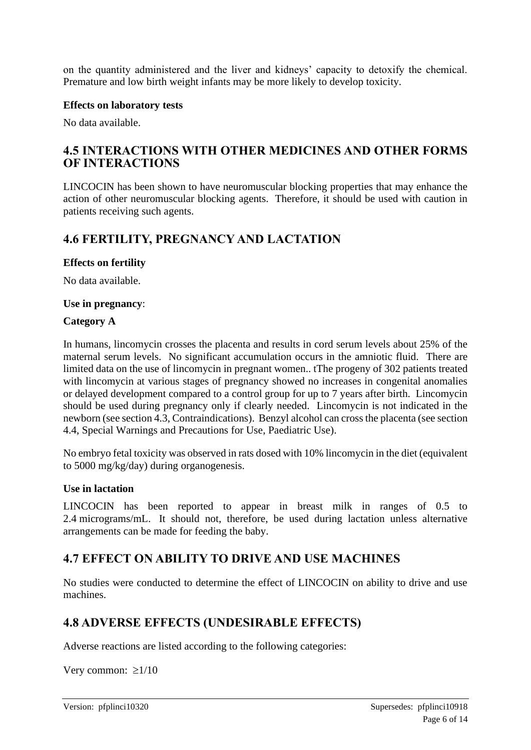on the quantity administered and the liver and kidneys' capacity to detoxify the chemical. Premature and low birth weight infants may be more likely to develop toxicity.

### **Effects on laboratory tests**

No data available.

### **4.5 INTERACTIONS WITH OTHER MEDICINES AND OTHER FORMS OF INTERACTIONS**

LINCOCIN has been shown to have neuromuscular blocking properties that may enhance the action of other neuromuscular blocking agents. Therefore, it should be used with caution in patients receiving such agents.

## **4.6 FERTILITY, PREGNANCY AND LACTATION**

### **Effects on fertility**

No data available.

### **Use in pregnancy**:

### **Category A**

In humans, lincomycin crosses the placenta and results in cord serum levels about 25% of the maternal serum levels. No significant accumulation occurs in the amniotic fluid. There are limited data on the use of lincomycin in pregnant women.. tThe progeny of 302 patients treated with lincomycin at various stages of pregnancy showed no increases in congenital anomalies or delayed development compared to a control group for up to 7 years after birth. Lincomycin should be used during pregnancy only if clearly needed. Lincomycin is not indicated in the newborn (see section 4.3, Contraindications). Benzyl alcohol can cross the placenta (see section 4.4, Special Warnings and Precautions for Use, Paediatric Use).

No embryo fetal toxicity was observed in rats dosed with 10% lincomycin in the diet (equivalent to 5000 mg/kg/day) during organogenesis.

#### **Use in lactation**

LINCOCIN has been reported to appear in breast milk in ranges of 0.5 to 2.4 micrograms/mL. It should not, therefore, be used during lactation unless alternative arrangements can be made for feeding the baby.

### **4.7 EFFECT ON ABILITY TO DRIVE AND USE MACHINES**

No studies were conducted to determine the effect of LINCOCIN on ability to drive and use machines.

### **4.8 ADVERSE EFFECTS (UNDESIRABLE EFFECTS)**

Adverse reactions are listed according to the following categories:

Very common:  $\geq 1/10$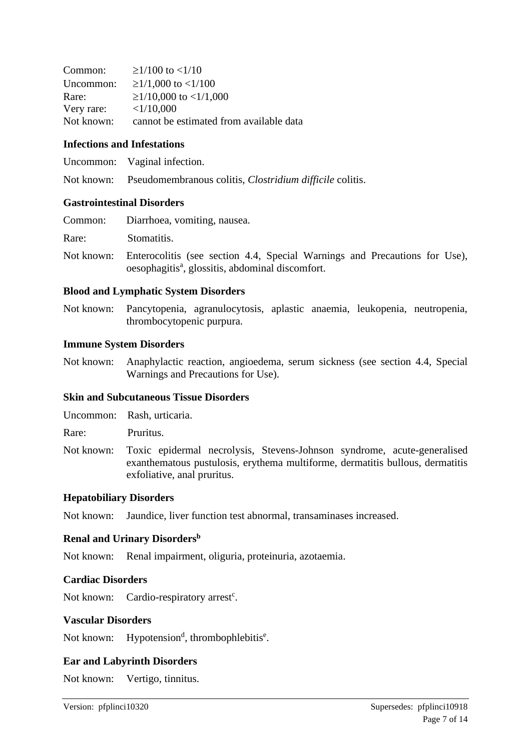| Common:    | $\geq$ 1/100 to <1/10                   |
|------------|-----------------------------------------|
| Uncommon:  | $\geq$ 1/1,000 to <1/100                |
| Rare:      | $\geq$ 1/10,000 to <1/1,000             |
| Very rare: | <1/10,000                               |
| Not known: | cannot be estimated from available data |

#### **Infections and Infestations**

| Uncommon: | Vaginal infection. |
|-----------|--------------------|
|-----------|--------------------|

Not known: Pseudomembranous colitis, *Clostridium difficile* colitis.

#### **Gastrointestinal Disorders**

| Common: | Diarrhoea, vomiting, nausea.                                                                                                                          |
|---------|-------------------------------------------------------------------------------------------------------------------------------------------------------|
| Rare:   | Stomatitis.                                                                                                                                           |
|         | Not known: Enterocolitis (see section 4.4, Special Warnings and Precautions for Use),<br>oesophagitis <sup>a</sup> , glossitis, abdominal discomfort. |

### **Blood and Lymphatic System Disorders**

Not known: Pancytopenia, agranulocytosis, aplastic anaemia, leukopenia, neutropenia, thrombocytopenic purpura.

#### **Immune System Disorders**

Not known: Anaphylactic reaction, angioedema, serum sickness (see section 4.4, Special Warnings and Precautions for Use).

#### **Skin and Subcutaneous Tissue Disorders**

Uncommon: Rash, urticaria.

Rare: Pruritus.

Not known: Toxic epidermal necrolysis, Stevens-Johnson syndrome, acute-generalised exanthematous pustulosis, erythema multiforme, dermatitis bullous, dermatitis exfoliative, anal pruritus.

### **Hepatobiliary Disorders**

Not known: Jaundice, liver function test abnormal, transaminases increased.

#### **Renal and Urinary Disorders<sup>b</sup>**

Not known: Renal impairment, oliguria, proteinuria, azotaemia.

#### **Cardiac Disorders**

Not known: Cardio-respiratory arrest<sup>c</sup>.

#### **Vascular Disorders**

Not known: Hypotension<sup>d</sup>, thrombophlebitis<sup>e</sup>.

### **Ear and Labyrinth Disorders**

Not known: Vertigo, tinnitus.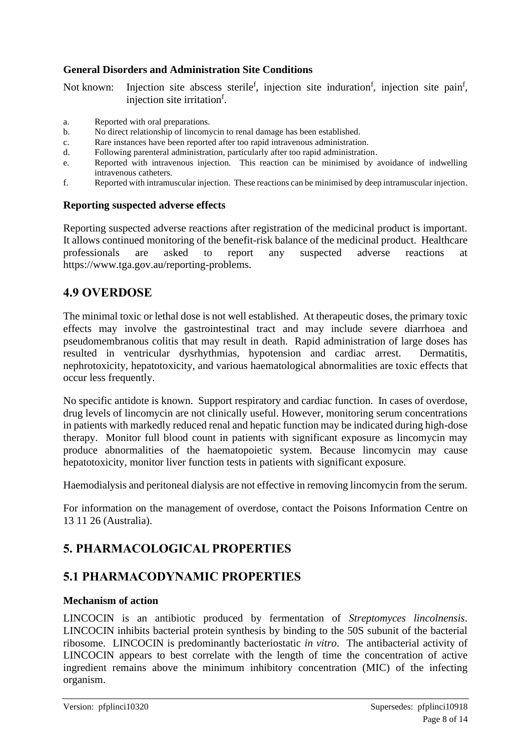### **General Disorders and Administration Site Conditions**

Not known: Injection site abscess sterile<sup>f</sup>, injection site induration<sup>f</sup>, injection site pain<sup>f</sup>, injection site irritation<sup>f</sup>.

- a. Reported with oral preparations.
- b. No direct relationship of lincomycin to renal damage has been established.
- c. Rare instances have been reported after too rapid intravenous administration.
- d. Following parenteral administration, particularly after too rapid administration.
- e. Reported with intravenous injection. This reaction can be minimised by avoidance of indwelling intravenous catheters.
- f. Reported with intramuscular injection. These reactions can be minimised by deep intramuscular injection.

### **Reporting suspected adverse effects**

Reporting suspected adverse reactions after registration of the medicinal product is important. It allows continued monitoring of the benefit-risk balance of the medicinal product. Healthcare professionals are asked to report any suspected adverse reactions at https://www.tga.gov.au/reporting-problems.

### **4.9 OVERDOSE**

The minimal toxic or lethal dose is not well established. At therapeutic doses, the primary toxic effects may involve the gastrointestinal tract and may include severe diarrhoea and pseudomembranous colitis that may result in death. Rapid administration of large doses has resulted in ventricular dysrhythmias, hypotension and cardiac arrest. Dermatitis, nephrotoxicity, hepatotoxicity, and various haematological abnormalities are toxic effects that occur less frequently.

No specific antidote is known. Support respiratory and cardiac function. In cases of overdose, drug levels of lincomycin are not clinically useful. However, monitoring serum concentrations in patients with markedly reduced renal and hepatic function may be indicated during high-dose therapy. Monitor full blood count in patients with significant exposure as lincomycin may produce abnormalities of the haematopoietic system*.* Because lincomycin may cause hepatotoxicity, monitor liver function tests in patients with significant exposure*.* 

Haemodialysis and peritoneal dialysis are not effective in removing lincomycin from the serum.

For information on the management of overdose, contact the Poisons Information Centre on 13 11 26 (Australia).

## **5. PHARMACOLOGICAL PROPERTIES**

### **5.1 PHARMACODYNAMIC PROPERTIES**

### **Mechanism of action**

LINCOCIN is an antibiotic produced by fermentation of *Streptomyces lincolnensis*. LINCOCIN inhibits bacterial protein synthesis by binding to the 50S subunit of the bacterial ribosome. LINCOCIN is predominantly bacteriostatic *in vitro*. The antibacterial activity of LINCOCIN appears to best correlate with the length of time the concentration of active ingredient remains above the minimum inhibitory concentration (MIC) of the infecting organism.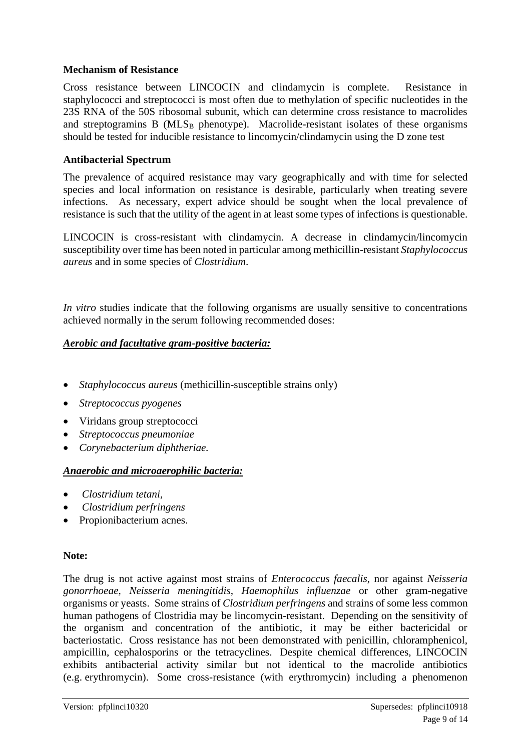### **Mechanism of Resistance**

Cross resistance between LINCOCIN and clindamycin is complete. Resistance in staphylococci and streptococci is most often due to methylation of specific nucleotides in the 23S RNA of the 50S ribosomal subunit, which can determine cross resistance to macrolides and streptogramins B ( $MLS_B$  phenotype). Macrolide-resistant isolates of these organisms should be tested for inducible resistance to lincomycin/clindamycin using the D zone test

### **Antibacterial Spectrum**

The prevalence of acquired resistance may vary geographically and with time for selected species and local information on resistance is desirable, particularly when treating severe infections. As necessary, expert advice should be sought when the local prevalence of resistance is such that the utility of the agent in at least some types of infections is questionable.

LINCOCIN is cross-resistant with clindamycin. A decrease in clindamycin/lincomycin susceptibility over time has been noted in particular among methicillin-resistant *Staphylococcus aureus* and in some species of *Clostridium*.

*In vitro* studies indicate that the following organisms are usually sensitive to concentrations achieved normally in the serum following recommended doses:

### *Aerobic and facultative gram-positive bacteria:*

- *Staphylococcus aureus* (methicillin-susceptible strains only)
- *Streptococcus pyogenes*
- Viridans group streptococci
- *Streptococcus pneumoniae*
- *Corynebacterium diphtheriae.*

#### *Anaerobic and microaerophilic bacteria:*

- *Clostridium tetani,*
- *Clostridium perfringens*
- Propionibacterium acnes.

#### **Note:**

The drug is not active against most strains of *Enterococcus faecalis*, nor against *Neisseria gonorrhoeae, Neisseria meningitidis, Haemophilus influenzae* or other gram-negative organisms or yeasts. Some strains of *Clostridium perfringens* and strains of some less common human pathogens of Clostridia may be lincomycin-resistant. Depending on the sensitivity of the organism and concentration of the antibiotic, it may be either bactericidal or bacteriostatic. Cross resistance has not been demonstrated with penicillin, chloramphenicol, ampicillin, cephalosporins or the tetracyclines. Despite chemical differences, LINCOCIN exhibits antibacterial activity similar but not identical to the macrolide antibiotics (e.g. erythromycin). Some cross-resistance (with erythromycin) including a phenomenon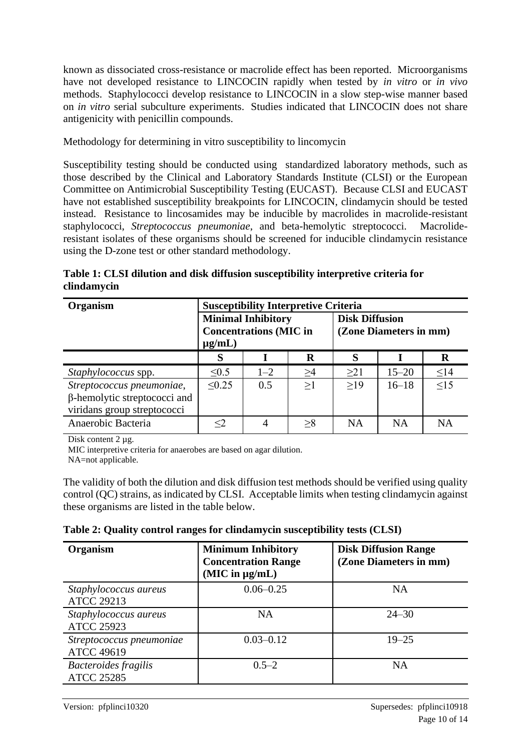known as dissociated cross-resistance or macrolide effect has been reported. Microorganisms have not developed resistance to LINCOCIN rapidly when tested by *in vitro* or *in vivo* methods. Staphylococci develop resistance to LINCOCIN in a slow step-wise manner based on *in vitro* serial subculture experiments. Studies indicated that LINCOCIN does not share antigenicity with penicillin compounds.

Methodology for determining in vitro susceptibility to lincomycin

Susceptibility testing should be conducted using standardized laboratory methods, such as those described by the Clinical and Laboratory Standards Institute (CLSI) or the European Committee on Antimicrobial Susceptibility Testing (EUCAST). Because CLSI and EUCAST have not established susceptibility breakpoints for LINCOCIN, clindamycin should be tested instead. Resistance to lincosamides may be inducible by macrolides in macrolide-resistant staphylococci, *Streptococcus pneumoniae*, and beta-hemolytic streptococci. Macrolideresistant isolates of these organisms should be screened for inducible clindamycin resistance using the D-zone test or other standard methodology.

**Table 1: CLSI dilution and disk diffusion susceptibility interpretive criteria for clindamycin**

| Organism                                                                                        | <b>Susceptibility Interpretive Criteria</b>                               |         |    |                                                 |           |           |
|-------------------------------------------------------------------------------------------------|---------------------------------------------------------------------------|---------|----|-------------------------------------------------|-----------|-----------|
|                                                                                                 | <b>Minimal Inhibitory</b><br><b>Concentrations (MIC in</b><br>$\mu$ g/mL) |         |    | <b>Disk Diffusion</b><br>(Zone Diameters in mm) |           |           |
|                                                                                                 | S                                                                         |         | R  | S                                               |           | $\bf R$   |
| <i>Staphylococcus</i> spp.                                                                      | $\leq 0.5$                                                                | $1 - 2$ | >4 | $\geq$ 21                                       | $15 - 20$ | $\leq$ 14 |
| Streptococcus pneumoniae,<br>$\beta$ -hemolytic streptococci and<br>viridans group streptococci | < 0.25                                                                    | 0.5     | >1 | >19                                             | $16 - 18$ | $\leq$ 15 |
| Anaerobic Bacteria                                                                              | $<$ 2                                                                     |         | >8 | NA                                              | <b>NA</b> | <b>NA</b> |

Disk content 2 µg.

MIC interpretive criteria for anaerobes are based on agar dilution.

NA=not applicable.

The validity of both the dilution and disk diffusion test methods should be verified using quality control (QC) strains, as indicated by CLSI. Acceptable limits when testing clindamycin against these organisms are listed in the table below.

**Table 2: Quality control ranges for clindamycin susceptibility tests (CLSI)**

| Organism                                      | <b>Minimum Inhibitory</b><br><b>Concentration Range</b><br>$(MIC$ in $\mu g/mL)$ | <b>Disk Diffusion Range</b><br>(Zone Diameters in mm) |
|-----------------------------------------------|----------------------------------------------------------------------------------|-------------------------------------------------------|
| Staphylococcus aureus<br><b>ATCC 29213</b>    | $0.06 - 0.25$                                                                    | NA                                                    |
| Staphylococcus aureus<br><b>ATCC 25923</b>    | <b>NA</b>                                                                        | $24 - 30$                                             |
| Streptococcus pneumoniae<br><b>ATCC 49619</b> | $0.03 - 0.12$                                                                    | $19 - 25$                                             |
| Bacteroides fragilis<br><b>ATCC 25285</b>     | $0.5 - 2$                                                                        | <b>NA</b>                                             |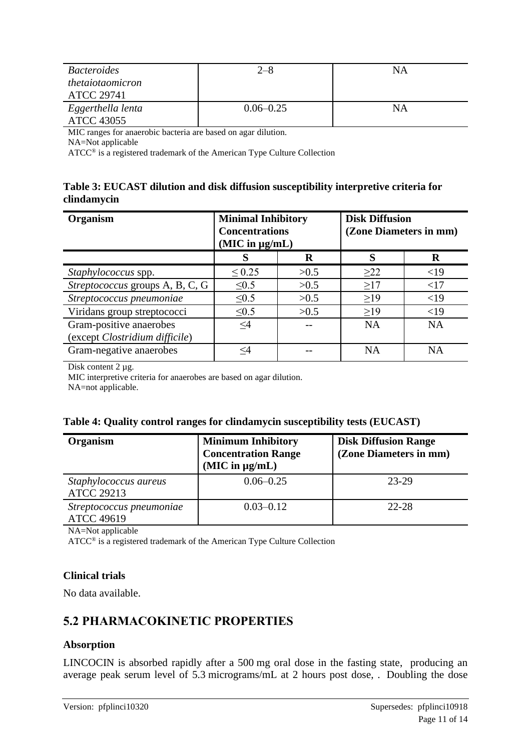| <b>Bacteroides</b>                     | $2 - 8$       | ΝA |
|----------------------------------------|---------------|----|
| thetaiotaomicron                       |               |    |
| <b>ATCC 29741</b>                      |               |    |
| Eggerthella lenta<br><b>ATCC 43055</b> | $0.06 - 0.25$ | ΝA |
|                                        |               |    |

MIC ranges for anaerobic bacteria are based on agar dilution.

NA=Not applicable

ATCC® is a registered trademark of the American Type Culture Collection

### **Table 3: EUCAST dilution and disk diffusion susceptibility interpretive criteria for clindamycin**

| Organism                        | <b>Minimal Inhibitory</b><br><b>Concentrations</b><br>(MIC in µg/mL) |      | <b>Disk Diffusion</b><br>(Zone Diameters in mm) |           |  |
|---------------------------------|----------------------------------------------------------------------|------|-------------------------------------------------|-----------|--|
|                                 |                                                                      | R    |                                                 | R         |  |
| Staphylococcus spp.             | $\leq 0.25$                                                          | >0.5 | $\geq$ 22                                       | <19       |  |
| Streptococcus groups A, B, C, G | $\leq 0.5$                                                           | >0.5 | $\geq$ 17                                       | <17       |  |
| Streptococcus pneumoniae        | $\leq 0.5$                                                           | >0.5 | $\geq$ 19                                       | <19       |  |
| Viridans group streptococci     | < 0.5                                                                | >0.5 | $\geq$ 19                                       | <19       |  |
| Gram-positive anaerobes         | $\leq$ 4                                                             |      | <b>NA</b>                                       | <b>NA</b> |  |
| (except Clostridium difficile)  |                                                                      |      |                                                 |           |  |
| Gram-negative anaerobes         | <4                                                                   |      | <b>NA</b>                                       | <b>NA</b> |  |

Disk content 2 µg.

MIC interpretive criteria for anaerobes are based on agar dilution.

NA=not applicable.

| Organism                                      | <b>Minimum Inhibitory</b><br><b>Concentration Range</b><br>$(MIC$ in $\mu g/mL)$ | <b>Disk Diffusion Range</b><br>(Zone Diameters in mm) |
|-----------------------------------------------|----------------------------------------------------------------------------------|-------------------------------------------------------|
| Staphylococcus aureus<br><b>ATCC 29213</b>    | $0.06 - 0.25$                                                                    | 23-29                                                 |
| Streptococcus pneumoniae<br><b>ATCC 49619</b> | $0.03 - 0.12$                                                                    | 22-28                                                 |

NA=Not applicable

ATCC® is a registered trademark of the American Type Culture Collection

### **Clinical trials**

No data available.

## **5.2 PHARMACOKINETIC PROPERTIES**

### **Absorption**

LINCOCIN is absorbed rapidly after a 500 mg oral dose in the fasting state, producing an average peak serum level of 5.3 micrograms/mL at 2 hours post dose, . Doubling the dose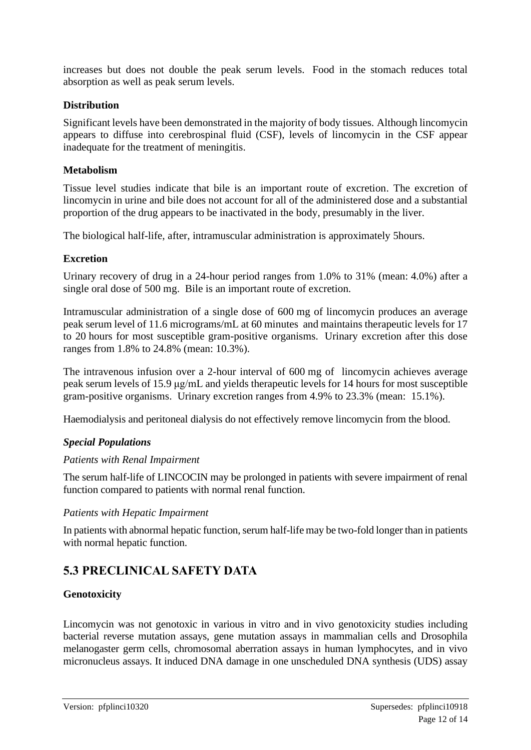increases but does not double the peak serum levels. Food in the stomach reduces total absorption as well as peak serum levels.

### **Distribution**

Significant levels have been demonstrated in the majority of body tissues. Although lincomycin appears to diffuse into cerebrospinal fluid (CSF), levels of lincomycin in the CSF appear inadequate for the treatment of meningitis.

### **Metabolism**

Tissue level studies indicate that bile is an important route of excretion. The excretion of lincomycin in urine and bile does not account for all of the administered dose and a substantial proportion of the drug appears to be inactivated in the body, presumably in the liver.

The biological half-life, after, intramuscular administration is approximately 5hours.

### **Excretion**

Urinary recovery of drug in a 24-hour period ranges from 1.0% to 31% (mean: 4.0%) after a single oral dose of 500 mg. Bile is an important route of excretion.

Intramuscular administration of a single dose of 600 mg of lincomycin produces an average peak serum level of 11.6 micrograms/mL at 60 minutes and maintains therapeutic levels for 17 to 20 hours for most susceptible gram-positive organisms. Urinary excretion after this dose ranges from 1.8% to 24.8% (mean: 10.3%).

The intravenous infusion over a 2-hour interval of 600 mg of lincomycin achieves average peak serum levels of 15.9 μg/mL and yields therapeutic levels for 14 hours for most susceptible gram-positive organisms. Urinary excretion ranges from 4.9% to 23.3% (mean: 15.1%).

Haemodialysis and peritoneal dialysis do not effectively remove lincomycin from the blood.

### *Special Populations*

### *Patients with Renal Impairment*

The serum half-life of LINCOCIN may be prolonged in patients with severe impairment of renal function compared to patients with normal renal function.

### *Patients with Hepatic Impairment*

In patients with abnormal hepatic function, serum half-life may be two-fold longer than in patients with normal hepatic function.

# **5.3 PRECLINICAL SAFETY DATA**

### **Genotoxicity**

Lincomycin was not genotoxic in various in vitro and in vivo genotoxicity studies including bacterial reverse mutation assays, gene mutation assays in mammalian cells and Drosophila melanogaster germ cells, chromosomal aberration assays in human lymphocytes, and in vivo micronucleus assays. It induced DNA damage in one unscheduled DNA synthesis (UDS) assay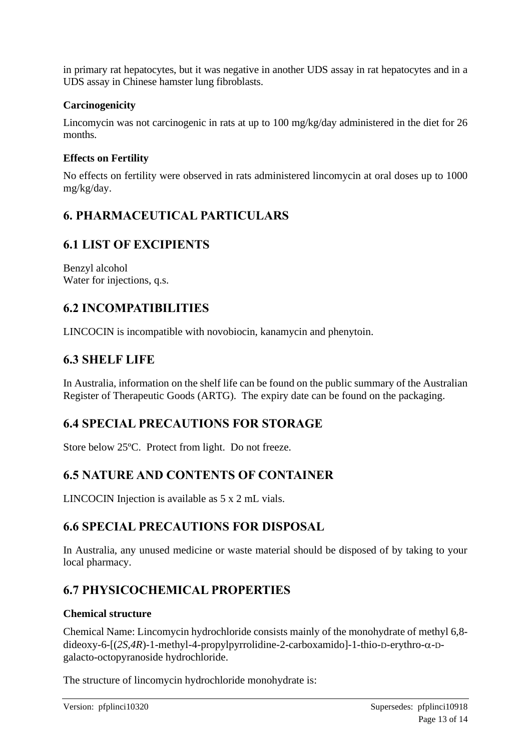in primary rat hepatocytes, but it was negative in another UDS assay in rat hepatocytes and in a UDS assay in Chinese hamster lung fibroblasts.

### **Carcinogenicity**

Lincomycin was not carcinogenic in rats at up to 100 mg/kg/day administered in the diet for 26 months.

### **Effects on Fertility**

No effects on fertility were observed in rats administered lincomycin at oral doses up to 1000 mg/kg/day.

## **6. PHARMACEUTICAL PARTICULARS**

## **6.1 LIST OF EXCIPIENTS**

Benzyl alcohol Water for injections, q.s.

## **6.2 INCOMPATIBILITIES**

LINCOCIN is incompatible with novobiocin, kanamycin and phenytoin.

### **6.3 SHELF LIFE**

In Australia, information on the shelf life can be found on the public summary of the Australian Register of Therapeutic Goods (ARTG). The expiry date can be found on the packaging.

## **6.4 SPECIAL PRECAUTIONS FOR STORAGE**

Store below 25ºC. Protect from light. Do not freeze.

## **6.5 NATURE AND CONTENTS OF CONTAINER**

LINCOCIN Injection is available as 5 x 2 mL vials.

### **6.6 SPECIAL PRECAUTIONS FOR DISPOSAL**

In Australia, any unused medicine or waste material should be disposed of by taking to your local pharmacy.

## **6.7 PHYSICOCHEMICAL PROPERTIES**

### **Chemical structure**

Chemical Name: Lincomycin hydrochloride consists mainly of the monohydrate of methyl 6,8  $dideoxy-6-[(2S,4R)-1-methyl-4-propylpyrrolidine-2-carboxamido]-1-thio-Deerythro-α-D$ galacto-octopyranoside hydrochloride.

The structure of lincomycin hydrochloride monohydrate is: